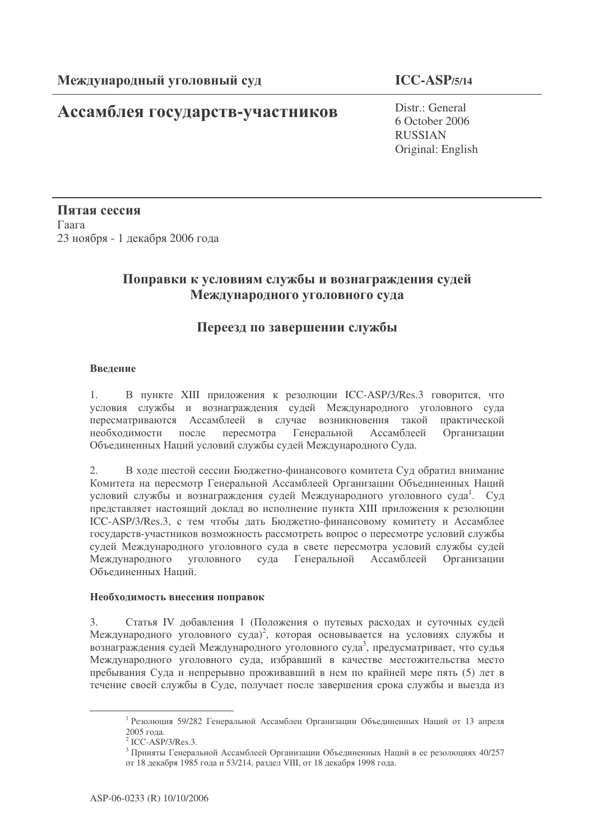# **Ассамблея государств-участников** Distr.: General

6 October 2006 RUSSIAN Original: English

Пятая сессия  $\Gamma$ aara 23 ноября - 1 декабря 2006 года

## Поправки к условиям службы и вознаграждения судей Международного уголовного суда

## Переезд по завершении службы

#### Введение

1. В пункте XIII приложения к резолюции ICC-ASP/3/Res.3 говорится, что условия службы и вознаграждения судей Международного уголовного суда пересматриваются Ассамблеей в случае возникновения такой практической необходимости после пересмотра Генеральной Асса мблее й Организации Объединенных Наций условий службы судей Международного Суда.

2. В ходе шестой сессии Бюджетно-финансового комитета Суд обратил внимание Комитета на пересмотр Генеральной Ассамблеей Организации Объединенных Наций условий службы и вознаграждения судей Международного уголовного суда<sup>1</sup>. Суд представляет настоящий доклад во исполнение пункта XIII приложения к резолюции ICC-ASP/3/Res.3, с тем чтобы дать Бюджетно-финансовому комитету и Ассамблее государств-участников возможность рассмотреть вопрос о пересмотре условий службы судей Международного уголовного суда в свете пересмотра условий службы судей Междуна родного уголовного суда Генеральной Ассамблее й Организации Объединенных Наций.

#### Необходимость внесения поправок

3. Статья IV добавления 1 (Положения о путевых расходах и суточных судей Международного уголовного суда)<sup>2</sup>, которая основывается на условиях службы и вознаграждения судей Международного уголовного суда<sup>3</sup>, предусматривает, что судья Международного уголовного суда, избравший в качестве местожительства место пребывания Суда и непрерывно проживавший в нем по крайней мере пять (5) лет в течение своей службы в Суде, получает после завершения срока службы и выезда из

<sup>&</sup>lt;sup>1</sup> Резолюция 59/282 Генеральной Ассамблеи Организации Объединенных Наций от 13 апреля 2005 года.

 $<sup>2</sup>$  ICC-ASP/3/Res.3.</sup>

 $^3$  Приняты Генеральной Ассамблеей Организации Объединенных Наций в ее резолюциях 40/257 от 18 декабря 1985 года и 53/214, раздел VIII, от 18 декабря 1998 года.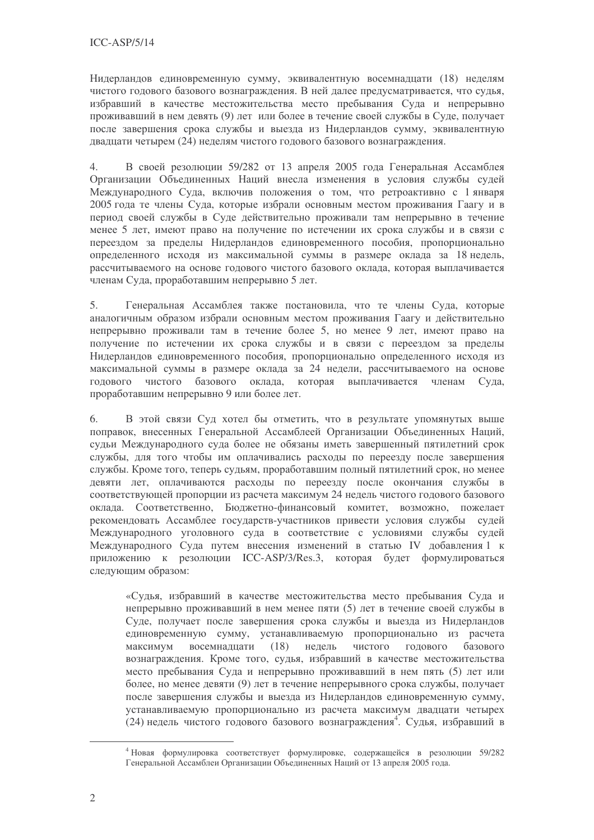Нидерландов единовременную сумму, эквивалентную восемнадцати (18) неделям чистого годового базового вознаграждения. В ней далее предусматривается, что судья, избравший в качестве местожительства место пребывания Суда и непрерывно проживавший в нем девять (9) лет или более в течение своей службы в Суде, получает после завершения срока службы и выезда из Нидерландов сумму, эквивалентную двадцати четырем (24) неделям чистого годового базового вознаграждения.

В своей резолюции 59/282 от 13 апреля 2005 года Генеральная Ассамблея  $4.$ Организации Объединенных Наций внесла изменения в условия службы судей Международного Суда, включив положения о том, что ретроактивно с 1 января 2005 года те члены Суда, которые избрали основным местом проживания Гаагу и в период своей службы в Суде действительно проживали там непрерывно в течение менее 5 лет, имеют право на получение по истечении их срока службы и в связи с переездом за пределы Нидерландов единовременного пособия, пропорционально определенного исходя из максимальной суммы в размере оклада за 18 недель, рассчитываемого на основе годового чистого базового оклада, которая выплачивается членам Суда, проработавшим непрерывно 5 лет.

 $5<sub>1</sub>$ Генеральная Ассамблея также постановила, что те члены Суда, которые аналогичным образом избрали основным местом проживания Гаагу и действительно непрерывно проживали там в течение более 5, но менее 9 лет, имеют право на получение по истечении их срока службы и в связи с переездом за пределы Нидерландов единовременного пособия, пропорционально определенного исходя из максимальной суммы в размере оклада за 24 недели, рассчитываемого на основе годового чистого базового оклада, которая выплачивается членам Суда. проработавшим непрерывно 9 или более лет.

6. В этой связи Суд хотел бы отметить, что в результате упомянутых выше поправок, внесенных Генеральной Ассамблеей Организации Объединенных Наций, судьи Международного суда более не обязаны иметь завершенный пятилетний срок службы, для того чтобы им оплачивались расходы по переезду после завершения службы. Кроме того, теперь судьям, проработавшим полный пятилетний срок, но менее девяти лет, оплачиваются расходы по переезду после окончания службы в соответствующей пропорции из расчета максимум 24 недель чистого годового базового оклада. Соответственно, Бюджетно-финансовый комитет, возможно, пожелает рекомендовать Ассамблее государств-участников привести условия службы судей Международного уголовного суда в соответствие с условиями службы судей Международного Суда путем внесения изменений в статью IV добавления 1 к приложению к резолюции ICC-ASP/3/Res.3, которая будет формулироваться следующим образом:

«Судья, избравший в качестве местожительства место пребывания Суда и непрерывно проживавший в нем менее пяти (5) лет в течение своей службы в Суде, получает после завершения срока службы и выезда из Нидерландов единовременную сумму, устанавливаемую пропорционально из расчета максимум восемнадцати (18) недель чистого ГОЛОВОГО базового вознаграждения. Кроме того, судья, избравший в качестве местожительства место пребывания Суда и непрерывно проживавший в нем пять (5) лет или более, но менее левяти (9) лет в течение непрерывного срока службы, получает после завершения службы и выезда из Нидерландов единовременную сумму, устанавливаемую пропорционально из расчета максимум двадцати четырех (24) недель чистого годового базового вознаграждения<sup>4</sup>. Судья, избравший в

<sup>4</sup> Новая формулировка соответствует формулировке, содержащейся в резолюции 59/282 Генеральной Ассамблеи Организации Объединенных Наций от 13 апреля 2005 года.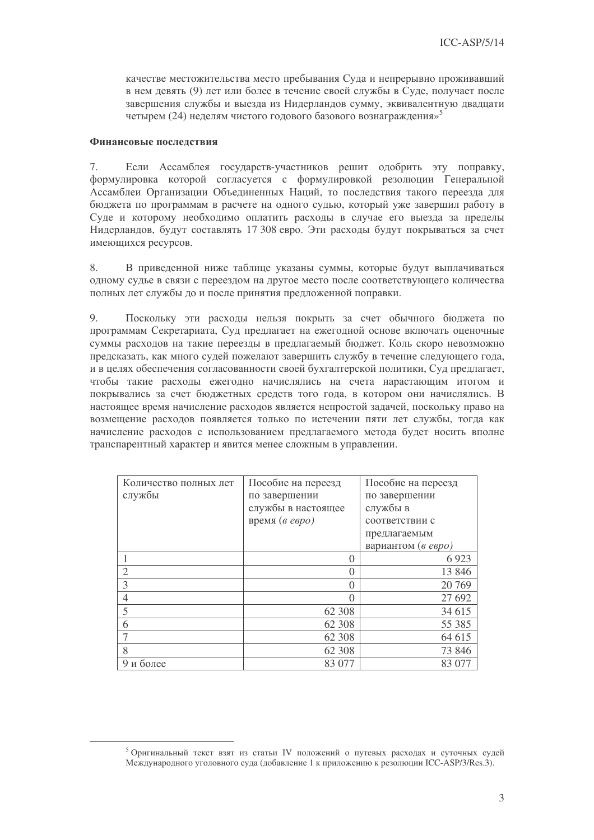качестве местожительства место пребывания Суда и непрерывно проживавший в нем девять (9) лет или более в течение своей службы в Суде, получает после завершения службы и выезда из Нидерландов сумму, эквивалентную двадцати четырем (24) неделям чистого годового базового вознаграждения»<sup>5</sup>

### Финансовые последствия

Если Ассамблея государств-участников решит одобрить эту поправку,  $7.$ формулировка которой согласуется с формулировкой резолюции Генеральной Ассамблеи Организации Объединенных Наций, то последствия такого переезда для бюджета по программам в расчете на одного судью, который уже завершил работу в Суде и которому необходимо оплатить расходы в случае его выезда за пределы Нидерландов, будут составлять 17 308 евро. Эти расходы будут покрываться за счет имеющихся ресурсов.

В приведенной ниже таблице указаны суммы, которые будут выплачиваться 8. одному судье в связи с переездом на другое место после соответствующего количества полных лет службы до и после принятия предложенной поправки.

9. Поскольку эти расходы нельзя покрыть за счет обычного бюджета по программам Секретариата, Суд предлагает на ежегодной основе включать оценочные суммы расходов на такие переезды в предлагаемый бюджет. Коль скоро невозможно предсказать, как много судей пожелают завершить службу в течение следующего года, и в целях обеспечения согласованности своей бухгалтерской политики, Суд предлагает, чтобы такие расходы ежегодно начислялись на счета нарастающим итогом и покрывались за счет бюджетных средств того года, в котором они начислялись. В настоящее время начисление расходов является непростой задачей, поскольку право на возмещение расходов появляется только по истечении пяти лет службы, тогда как начисление расходов с использованием предлагаемого метода будет носить вполне транспарентный характер и явится менее сложным в управлении.

| Количество полных лет       | Пособие на переезд | Пособие на переезд |
|-----------------------------|--------------------|--------------------|
| службы                      | по завершении      | по завершении      |
|                             | службы в настоящее | службы в           |
|                             | время (в евро)     | соответствии с     |
|                             |                    | предлагаемым       |
|                             |                    | вариантом (в евро) |
|                             | $\theta$           | 6923               |
| $\mathcal{D}_{\mathcal{L}}$ | $\Omega$           | 13 8 46            |
| 3                           | $\theta$           | 20 769             |
| 4                           | $\Omega$           | 27 692             |
| 5                           | 62 308             | 34 615             |
| 6                           | 62 308             | 55 385             |
|                             | 62 308             | 64 615             |
| 8                           | 62 308             | 73 846             |
| и более                     | 83 077             | 83 077             |

<sup>&</sup>lt;sup>5</sup> Оригинальный текст взят из статьи IV положений о путевых расходах и суточных судей Международного уголовного суда (добавление 1 к приложению к резолюции ICC-ASP/3/Res.3).